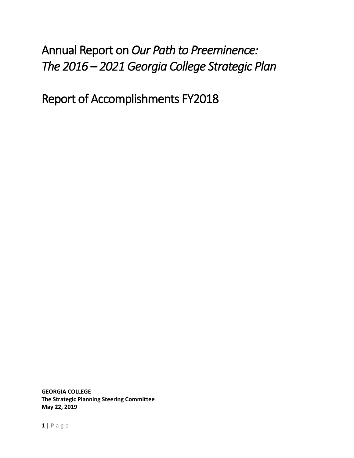# Annual Report on *Our Path to Preeminence: The 2016 – 2021 Georgia College Strategic Plan*

Report of Accomplishments FY2018

**GEORGIA COLLEGE The Strategic Planning Steering Committee May 22, 2019**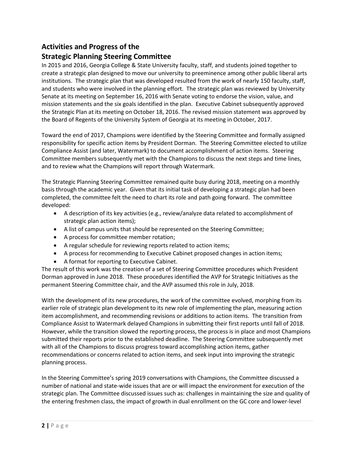# **Activities and Progress of the**

## **Strategic Planning Steering Committee**

In 2015 and 2016, Georgia College & State University faculty, staff, and students joined together to create a strategic plan designed to move our university to preeminence among other public liberal arts institutions. The strategic plan that was developed resulted from the work of nearly 150 faculty, staff, and students who were involved in the planning effort. The strategic plan was reviewed by University Senate at its meeting on September 16, 2016 with Senate voting to endorse the vision, value, and mission statements and the six goals identified in the plan. Executive Cabinet subsequently approved the Strategic Plan at its meeting on October 18, 2016. The revised mission statement was approved by the Board of Regents of the University System of Georgia at its meeting in October, 2017.

Toward the end of 2017, Champions were identified by the Steering Committee and formally assigned responsibility for specific action items by President Dorman. The Steering Committee elected to utilize Compliance Assist (and later, Watermark) to document accomplishment of action items. Steering Committee members subsequently met with the Champions to discuss the next steps and time lines, and to review what the Champions will report through Watermark.

The Strategic Planning Steering Committee remained quite busy during 2018, meeting on a monthly basis through the academic year. Given that its initial task of developing a strategic plan had been completed, the committee felt the need to chart its role and path going forward. The committee developed:

- A description of its key activities (e.g., review/analyze data related to accomplishment of strategic plan action items);
- A list of campus units that should be represented on the Steering Committee;
- A process for committee member rotation;
- A regular schedule for reviewing reports related to action items;
- A process for recommending to Executive Cabinet proposed changes in action items;
- A format for reporting to Executive Cabinet.

The result of this work was the creation of a set of Steering Committee procedures which President Dorman approved in June 2018. These procedures identified the AVP for Strategic Initiatives as the permanent Steering Committee chair, and the AVP assumed this role in July, 2018.

With the development of its new procedures, the work of the committee evolved, morphing from its earlier role of strategic plan development to its new role of implementing the plan, measuring action item accomplishment, and recommending revisions or additions to action items. The transition from Compliance Assist to Watermark delayed Champions in submitting their first reports until fall of 2018. However, while the transition slowed the reporting process, the process is in place and most Champions submitted their reports prior to the established deadline. The Steering Committee subsequently met with all of the Champions to discuss progress toward accomplishing action items, gather recommendations or concerns related to action items, and seek input into improving the strategic planning process.

In the Steering Committee's spring 2019 conversations with Champions, the Committee discussed a number of national and state-wide issues that are or will impact the environment for execution of the strategic plan. The Committee discussed issues such as: challenges in maintaining the size and quality of the entering freshmen class, the impact of growth in dual enrollment on the GC core and lower-level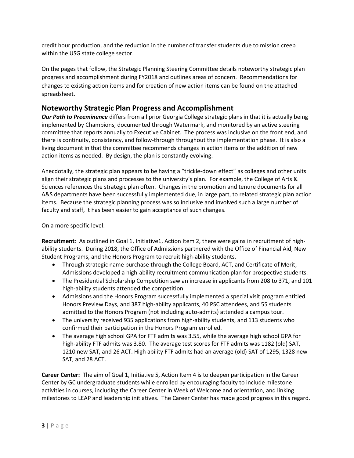credit hour production, and the reduction in the number of transfer students due to mission creep within the USG state college sector.

On the pages that follow, the Strategic Planning Steering Committee details noteworthy strategic plan progress and accomplishment during FY2018 and outlines areas of concern. Recommendations for changes to existing action items and for creation of new action items can be found on the attached spreadsheet.

#### **Noteworthy Strategic Plan Progress and Accomplishment**

*Our Path to Preeminence* differs from all prior Georgia College strategic plans in that it is actually being implemented by Champions, documented through Watermark, and monitored by an active steering committee that reports annually to Executive Cabinet. The process was inclusive on the front end, and there is continuity, consistency, and follow-through throughout the implementation phase. It is also a living document in that the committee recommends changes in action items or the addition of new action items as needed. By design, the plan is constantly evolving.

Anecdotally, the strategic plan appears to be having a "trickle-down effect" as colleges and other units align their strategic plans and processes to the university's plan. For example, the College of Arts & Sciences references the strategic plan often. Changes in the promotion and tenure documents for all A&S departments have been successfully implemented due, in large part, to related strategic plan action items. Because the strategic planning process was so inclusive and involved such a large number of faculty and staff, it has been easier to gain acceptance of such changes.

On a more specific level:

**Recruitment**: As outlined in Goal 1, Initiative1, Action Item 2, there were gains in recruitment of highability students. During 2018, the Office of Admissions partnered with the Office of Financial Aid, New Student Programs, and the Honors Program to recruit high-ability students.

- Through strategic name purchase through the College Board, ACT, and Certificate of Merit, Admissions developed a high-ability recruitment communication plan for prospective students.
- The Presidential Scholarship Competition saw an increase in applicants from 208 to 371, and 101 high-ability students attended the competition.
- Admissions and the Honors Program successfully implemented a special visit program entitled Honors Preview Days, and 387 high-ability applicants, 40 PSC attendees, and 55 students admitted to the Honors Program (not including auto-admits) attended a campus tour.
- The university received 935 applications from high-ability students, and 113 students who confirmed their participation in the Honors Program enrolled.
- The average high school GPA for FTF admits was 3.55, while the average high school GPA for high-ability FTF admits was 3.80. The average test scores for FTF admits was 1182 (old) SAT, 1210 new SAT, and 26 ACT. High ability FTF admits had an average (old) SAT of 1295, 1328 new SAT, and 28 ACT.

**Career Center:** The aim of Goal 1, Initiative 5, Action Item 4 is to deepen participation in the Career Center by GC undergraduate students while enrolled by encouraging faculty to include milestone activities in courses, including the Career Center in Week of Welcome and orientation, and linking milestones to LEAP and leadership initiatives. The Career Center has made good progress in this regard.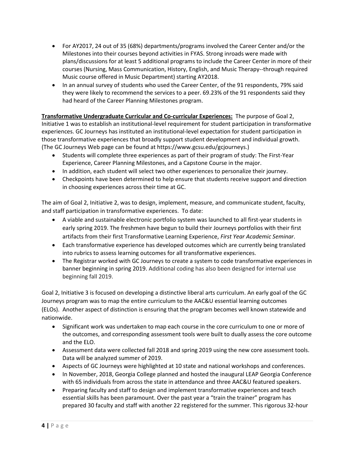- For AY2017, 24 out of 35 (68%) departments/programs involved the Career Center and/or the Milestones into their courses beyond activities in FYAS. Strong inroads were made with plans/discussions for at least 5 additional programs to include the Career Center in more of their courses (Nursing, Mass Communication, History, English, and Music Therapy--through required Music course offered in Music Department) starting AY2018.
- In an annual survey of students who used the Career Center, of the 91 respondents, 79% said they were likely to recommend the services to a peer. 69.23% of the 91 respondents said they had heard of the Career Planning Milestones program.

**Transformative Undergraduate Curricular and Co-curricular Experiences:** The purpose of Goal 2, Initiative 1 was to establish an institutional-level requirement for student participation in transformative experiences. GC Journeys has instituted an institutional-level expectation for student participation in those transformative experiences that broadly support student development and individual growth. (The GC Journeys Web page can be found at https://www.gcsu.edu/gcjourneys.)

- Students will complete three experiences as part of their program of study: The First-Year Experience, Career Planning Milestones, and a Capstone Course in the major.
- In addition, each student will select two other experiences to personalize their journey.
- Checkpoints have been determined to help ensure that students receive support and direction in choosing experiences across their time at GC.

The aim of Goal 2, Initiative 2, was to design, implement, measure, and communicate student, faculty, and staff participation in transformative experiences. To date:

- A viable and sustainable electronic portfolio system was launched to all first-year students in early spring 2019. The freshmen have begun to build their Journeys portfolios with their first artifacts from their first Transformative Learning Experience, *First Year Academic Seminar*.
- Each transformative experience has developed outcomes which are currently being translated into rubrics to assess learning outcomes for all transformative experiences.
- The Registrar worked with GC Journeys to create a system to code transformative experiences in banner beginning in spring 2019. Additional coding has also been designed for internal use beginning fall 2019.

Goal 2, Initiative 3 is focused on developing a distinctive liberal arts curriculum. An early goal of the GC Journeys program was to map the entire curriculum to the AAC&U essential learning outcomes (ELOs). Another aspect of distinction is ensuring that the program becomes well known statewide and nationwide.

- Significant work was undertaken to map each course in the core curriculum to one or more of the outcomes, and corresponding assessment tools were built to dually assess the core outcome and the ELO.
- Assessment data were collected fall 2018 and spring 2019 using the new core assessment tools. Data will be analyzed summer of 2019.
- Aspects of GC Journeys were highlighted at 10 state and national workshops and conferences.
- In November, 2018, Georgia College planned and hosted the inaugural LEAP Georgia Conference with 65 individuals from across the state in attendance and three AAC&U featured speakers.
- Preparing faculty and staff to design and implement transformative experiences and teach essential skills has been paramount. Over the past year a "train the trainer" program has prepared 30 faculty and staff with another 22 registered for the summer. This rigorous 32-hour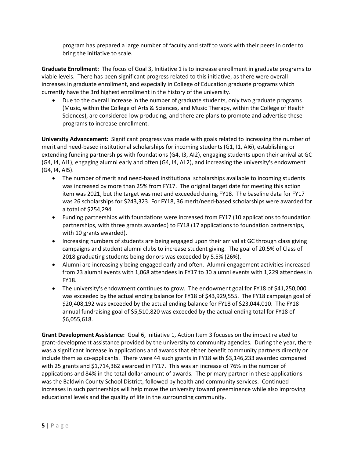program has prepared a large number of faculty and staff to work with their peers in order to bring the initiative to scale.

**Graduate Enrollment:** The focus of Goal 3, Initiative 1 is to increase enrollment in graduate programs to viable levels. There has been significant progress related to this initiative, as there were overall increases in graduate enrollment, and especially in College of Education graduate programs which currently have the 3rd highest enrollment in the history of the university.

 Due to the overall increase in the number of graduate students, only two graduate programs (Music, within the College of Arts & Sciences, and Music Therapy, within the College of Health Sciences), are considered low producing, and there are plans to promote and advertise these programs to increase enrollment.

**University Advancement:** Significant progress was made with goals related to increasing the number of merit and need-based institutional scholarships for incoming students (G1, I1, AI6), establishing or extending funding partnerships with foundations (G4, I3, AI2), engaging students upon their arrival at GC (G4, I4, AI1), engaging alumni early and often (G4, I4, AI 2), and increasing the university's endowment (G4, I4, AI5).

- The number of merit and need-based institutional scholarships available to incoming students was increased by more than 25% from FY17. The original target date for meeting this action item was 2021, but the target was met and exceeded during FY18. The baseline data for FY17 was 26 scholarships for \$243,323. For FY18, 36 merit/need-based scholarships were awarded for a total of \$254,294.
- Funding partnerships with foundations were increased from FY17 (10 applications to foundation partnerships, with three grants awarded) to FY18 (17 applications to foundation partnerships, with 10 grants awarded).
- Increasing numbers of students are being engaged upon their arrival at GC through class giving campaigns and student alumni clubs to increase student giving. The goal of 20.5% of Class of 2018 graduating students being donors was exceeded by 5.5% (26%).
- Alumni are increasingly being engaged early and often. Alumni engagement activities increased from 23 alumni events with 1,068 attendees in FY17 to 30 alumni events with 1,229 attendees in FY18.
- The university's endowment continues to grow. The endowment goal for FY18 of \$41,250,000 was exceeded by the actual ending balance for FY18 of \$43,929,555. The FY18 campaign goal of \$20,408,192 was exceeded by the actual ending balance for FY18 of \$23,044,010. The FY18 annual fundraising goal of \$5,510,820 was exceeded by the actual ending total for FY18 of \$6,055,618.

**Grant Development Assistance:** Goal 6, Initiative 1, Action Item 3 focuses on the impact related to grant-development assistance provided by the university to community agencies. During the year, there was a significant increase in applications and awards that either benefit community partners directly or include them as co-applicants. There were 44 such grants in FY18 with \$3,146,233 awarded compared with 25 grants and \$1,714,362 awarded in FY17. This was an increase of 76% in the number of applications and 84% in the total dollar amount of awards. The primary partner in these applications was the Baldwin County School District, followed by health and community services. Continued increases in such partnerships will help move the university toward preeminence while also improving educational levels and the quality of life in the surrounding community.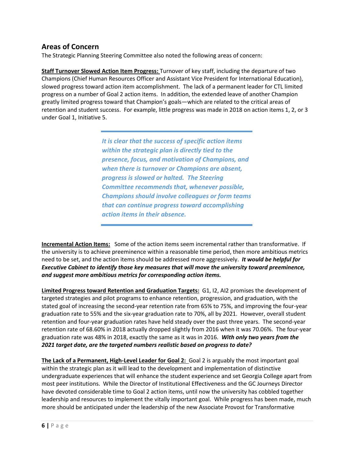#### **Areas of Concern**

The Strategic Planning Steering Committee also noted the following areas of concern:

**Staff Turnover Slowed Action Item Progress:** Turnover of key staff, including the departure of two Champions (Chief Human Resources Officer and Assistant Vice President for International Education), slowed progress toward action item accomplishment. The lack of a permanent leader for CTL limited progress on a number of Goal 2 action items. In addition, the extended leave of another Champion greatly limited progress toward that Champion's goals—which are related to the critical areas of retention and student success. For example, little progress was made in 2018 on action items 1, 2, or 3 under Goal 1, Initiative 5.

> *It is clear that the success of specific action items within the strategic plan is directly tied to the presence, focus, and motivation of Champions, and when there is turnover or Champions are absent, progress is slowed or halted. The Steering Committee recommends that, whenever possible, Champions should involve colleagues or form teams that can continue progress toward accomplishing action items in their absence.*

**Incremental Action Items:** Some of the action items seem incremental rather than transformative. If the university is to achieve preeminence within a reasonable time period, then more ambitious metrics need to be set, and the action items should be addressed more aggressively. *It would be helpful for Executive Cabinet to identify those key measures that will move the university toward preeminence, and suggest more ambitious metrics for corresponding action items.*

**Limited Progress toward Retention and Graduation Targets:** G1, I2, AI2 promises the development of targeted strategies and pilot programs to enhance retention, progression, and graduation, with the stated goal of increasing the second-year retention rate from 65% to 75%, and improving the four-year graduation rate to 55% and the six-year graduation rate to 70%, all by 2021. However, overall student retention and four-year graduation rates have held steady over the past three years. The second-year retention rate of 68.60% in 2018 actually dropped slightly from 2016 when it was 70.06%. The four-year graduation rate was 48% in 2018, exactly the same as it was in 2016. *With only two years from the 2021 target date, are the targeted numbers realistic based on progress to date?*

**The Lack of a Permanent, High-Level Leader for Goal 2:** Goal 2 is arguably the most important goal within the strategic plan as it will lead to the development and implementation of distinctive undergraduate experiences that will enhance the student experience and set Georgia College apart from most peer institutions. While the Director of Institutional Effectiveness and the GC Journeys Director have devoted considerable time to Goal 2 action items, until now the university has cobbled together leadership and resources to implement the vitally important goal. While progress has been made, much more should be anticipated under the leadership of the new Associate Provost for Transformative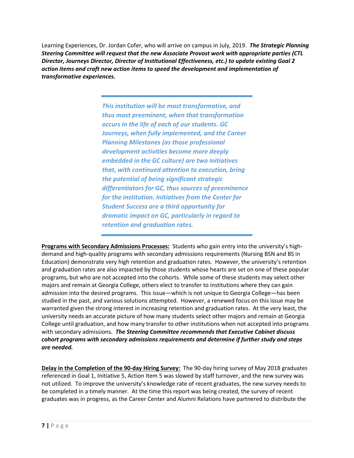Learning Experiences, Dr. Jordan Cofer, who will arrive on campus in July, 2019. *The Strategic Planning Steering Committee will request that the new Associate Provost work with appropriate parties (CTL Director, Journeys Director, Director of Institutional Effectiveness, etc.) to update existing Goal 2 action items and craft new action items to speed the development and implementation of transformative experiences.*

> *This institution will be most transformative, and thus most preeminent, when that transformation occurs in the life of each of our students. GC Journeys, when fully implemented, and the Career Planning Milestones (as those professional development activities become more deeply embedded in the GC culture) are two initiatives that, with continued attention to execution, bring the potential of being significant strategic differentiators for GC, thus sources of preeminence for the institution. Initiatives from the Center for Student Success are a third opportunity for dramatic impact on GC, particularly in regard to retention and graduation rates.*

**Programs with Secondary Admissions Processes:** Students who gain entry into the university's highdemand and high-quality programs with secondary admissions requirements (Nursing BSN and BS in Education) demonstrate very high retention and graduation rates. However, the university's retention and graduation rates are also impacted by those students whose hearts are set on one of these popular programs, but who are not accepted into the cohorts. While some of these students may select other majors and remain at Georgia College, others elect to transfer to institutions where they can gain admission into the desired programs. This issue—which is not unique to Georgia College—has been studied in the past, and various solutions attempted. However, a renewed focus on this issue may be warranted given the strong interest in increasing retention and graduation rates. At the very least, the university needs an accurate picture of how many students select other majors and remain at Georgia College until graduation, and how many transfer to other institutions when not accepted into programs with secondary admissions. *The Steering Committee recommends that Executive Cabinet discuss cohort programs with secondary admissions requirements and determine if further study and steps are needed.*

**Delay in the Completion of the 90-day Hiring Survey:** The 90-day hiring survey of May 2018 graduates referenced in Goal 1, Initiative 5, Action Item 5 was slowed by staff turnover, and the new survey was not utilized. To improve the university's knowledge rate of recent graduates, the new survey needs to be completed in a timely manner. At the time this report was being created, the survey of recent graduates was in progress, as the Career Center and Alumni Relations have partnered to distribute the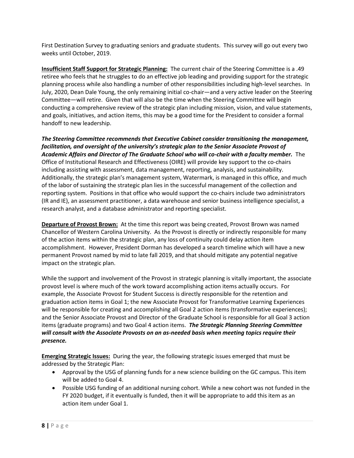First Destination Survey to graduating seniors and graduate students. This survey will go out every two weeks until October, 2019.

**Insufficient Staff Support for Strategic Planning:** The current chair of the Steering Committee is a .49 retiree who feels that he struggles to do an effective job leading and providing support for the strategic planning process while also handling a number of other responsibilities including high-level searches. In July, 2020, Dean Dale Young, the only remaining initial co-chair—and a very active leader on the Steering Committee—will retire. Given that will also be the time when the Steering Committee will begin conducting a comprehensive review of the strategic plan including mission, vision, and value statements, and goals, initiatives, and action items, this may be a good time for the President to consider a formal handoff to new leadership.

*The Steering Committee recommends that Executive Cabinet consider transitioning the management, facilitation, and oversight of the university's strategic plan to the Senior Associate Provost of Academic Affairs and Director of The Graduate School who will co-chair with a faculty member.* The Office of Institutional Research and Effectiveness (OIRE) will provide key support to the co-chairs including assisting with assessment, data management, reporting, analysis, and sustainability. Additionally, the strategic plan's management system, Watermark, is managed in this office, and much of the labor of sustaining the strategic plan lies in the successful management of the collection and reporting system. Positions in that office who would support the co-chairs include two administrators (IR and IE), an assessment practitioner, a data warehouse and senior business intelligence specialist, a research analyst, and a database administrator and reporting specialist.

**Departure of Provost Brown:** At the time this report was being created, Provost Brown was named Chancellor of Western Carolina University. As the Provost is directly or indirectly responsible for many of the action items within the strategic plan, any loss of continuity could delay action item accomplishment. However, President Dorman has developed a search timeline which will have a new permanent Provost named by mid to late fall 2019, and that should mitigate any potential negative impact on the strategic plan.

While the support and involvement of the Provost in strategic planning is vitally important, the associate provost level is where much of the work toward accomplishing action items actually occurs. For example, the Associate Provost for Student Success is directly responsible for the retention and graduation action items in Goal 1; the new Associate Provost for Transformative Learning Experiences will be responsible for creating and accomplishing all Goal 2 action items (transformative experiences); and the Senior Associate Provost and Director of the Graduate School is responsible for all Goal 3 action items (graduate programs) and two Goal 4 action items. *The Strategic Planning Steering Committee will consult with the Associate Provosts on an as-needed basis when meeting topics require their presence.* 

**Emerging Strategic Issues:** During the year, the following strategic issues emerged that must be addressed by the Strategic Plan:

- Approval by the USG of planning funds for a new science building on the GC campus. This item will be added to Goal 4.
- Possible USG funding of an additional nursing cohort. While a new cohort was not funded in the FY 2020 budget, if it eventually is funded, then it will be appropriate to add this item as an action item under Goal 1.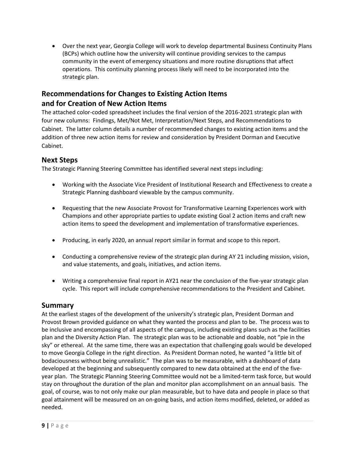Over the next year, Georgia College will work to develop departmental Business Continuity Plans (BCPs) which outline how the university will continue providing services to the campus community in the event of emergency situations and more routine disruptions that affect operations. This continuity planning process likely will need to be incorporated into the strategic plan.

### **Recommendations for Changes to Existing Action Items and for Creation of New Action Items**

The attached color-coded spreadsheet includes the final version of the 2016-2021 strategic plan with four new columns: Findings, Met/Not Met, Interpretation/Next Steps, and Recommendations to Cabinet. The latter column details a number of recommended changes to existing action items and the addition of three new action items for review and consideration by President Dorman and Executive Cabinet.

#### **Next Steps**

The Strategic Planning Steering Committee has identified several next steps including:

- Working with the Associate Vice President of Institutional Research and Effectiveness to create a Strategic Planning dashboard viewable by the campus community.
- Requesting that the new Associate Provost for Transformative Learning Experiences work with Champions and other appropriate parties to update existing Goal 2 action items and craft new action items to speed the development and implementation of transformative experiences.
- Producing, in early 2020, an annual report similar in format and scope to this report.
- Conducting a comprehensive review of the strategic plan during AY 21 including mission, vision, and value statements, and goals, initiatives, and action items.
- Writing a comprehensive final report in AY21 near the conclusion of the five-year strategic plan cycle. This report will include comprehensive recommendations to the President and Cabinet.

#### **Summary**

At the earliest stages of the development of the university's strategic plan, President Dorman and Provost Brown provided guidance on what they wanted the process and plan to be. The process was to be inclusive and encompassing of all aspects of the campus, including existing plans such as the facilities plan and the Diversity Action Plan. The strategic plan was to be actionable and doable, not "pie in the sky" or ethereal. At the same time, there was an expectation that challenging goals would be developed to move Georgia College in the right direction. As President Dorman noted, he wanted "a little bit of bodaciousness without being unrealistic." The plan was to be measurable, with a dashboard of data developed at the beginning and subsequently compared to new data obtained at the end of the fiveyear plan. The Strategic Planning Steering Committee would not be a limited-term task force, but would stay on throughout the duration of the plan and monitor plan accomplishment on an annual basis. The goal, of course, was to not only make our plan measurable, but to have data and people in place so that goal attainment will be measured on an on-going basis, and action items modified, deleted, or added as needed.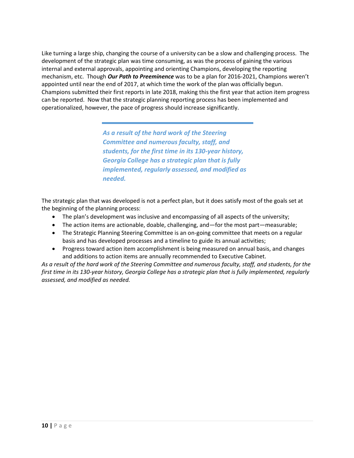Like turning a large ship, changing the course of a university can be a slow and challenging process. The development of the strategic plan was time consuming, as was the process of gaining the various internal and external approvals, appointing and orienting Champions, developing the reporting mechanism, etc. Though *Our Path to Preeminence* was to be a plan for 2016-2021, Champions weren't appointed until near the end of 2017, at which time the work of the plan was officially begun. Champions submitted their first reports in late 2018, making this the first year that action item progress can be reported. Now that the strategic planning reporting process has been implemented and operationalized, however, the pace of progress should increase significantly.

> *As a result of the hard work of the Steering Committee and numerous faculty, staff, and students, for the first time in its 130-year history, Georgia College has a strategic plan that is fully implemented, regularly assessed, and modified as needed.*

The strategic plan that was developed is not a perfect plan, but it does satisfy most of the goals set at the beginning of the planning process:

- The plan's development was inclusive and encompassing of all aspects of the university;
- The action items are actionable, doable, challenging, and—for the most part—measurable;
- The Strategic Planning Steering Committee is an on-going committee that meets on a regular basis and has developed processes and a timeline to guide its annual activities;
- Progress toward action item accomplishment is being measured on annual basis, and changes and additions to action items are annually recommended to Executive Cabinet.

*As a result of the hard work of the Steering Committee and numerous faculty, staff, and students, for the*  first time in its 130-year history, Georgia College has a strategic plan that is fully implemented, regularly *assessed, and modified as needed.*